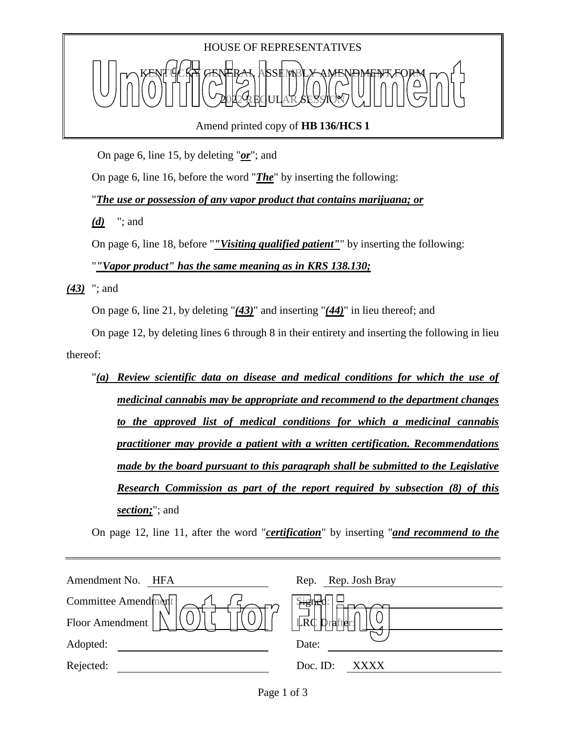# HOUSE OF REPRESENTATIVES KENT YCKY GENERAL ASSEMBLY AMENDMENT FORM 2022 REGULAR SESSION

Amend printed copy of **HB 136/HCS 1**

On page 6, line 15, by deleting "*or*"; and

On page 6, line 16, before the word "*The*" by inserting the following:

"*The use or possession of any vapor product that contains marijuana; or*

*(d)* "; and

On page 6, line 18, before "*"Visiting qualified patient"*" by inserting the following: "*"Vapor product" has the same meaning as in KRS 138.130;*

*(43)* "; and

On page 6, line 21, by deleting "*(43)*" and inserting "*(44)*" in lieu thereof; and

On page 12, by deleting lines 6 through 8 in their entirety and inserting the following in lieu thereof:

"*(a) Review scientific data on disease and medical conditions for which the use of medicinal cannabis may be appropriate and recommend to the department changes to the approved list of medical conditions for which a medicinal cannabis practitioner may provide a patient with a written certification. Recommendations made by the board pursuant to this paragraph shall be submitted to the Legislative Research Commission as part of the report required by subsection (8) of this section;*"; and

On page 12, line 11, after the word "*certification*" by inserting "*and recommend to the* 

| Amendment No.<br>HFA | Rep. Rep. Josh Bray |
|----------------------|---------------------|
| Committee Amendment  | <b>Pisus</b>        |
| Floor Amendment      | LRC<br>Drafter:     |
| Adopted:             | Date:               |
| Rejected:            | Doc. ID:<br>XXXX    |
|                      |                     |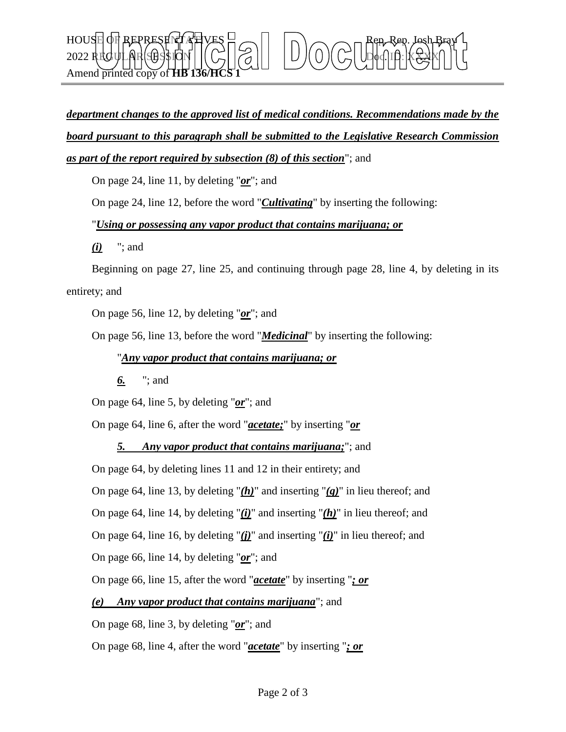### $\text{HOUSE}$  OF REPRESENT AT VES  $\Box \frown \Box \vdash \bot \land \frown \frown \Box$  Rep. Rep. Josh Bray 2022 REGULAR SESSION Doc. ID: XXXX Amend printed copy of **HB** 136/

## *department changes to the approved list of medical conditions. Recommendations made by the board pursuant to this paragraph shall be submitted to the Legislative Research Commission as part of the report required by subsection (8) of this section*"; and

On page 24, line 11, by deleting "*or*"; and

On page 24, line 12, before the word "*Cultivating*" by inserting the following:

#### "*Using or possessing any vapor product that contains marijuana; or*

*(i)* "; and

Beginning on page 27, line 25, and continuing through page 28, line 4, by deleting in its entirety; and

On page 56, line 12, by deleting "*or*"; and

On page 56, line 13, before the word "*Medicinal*" by inserting the following:

#### "*Any vapor product that contains marijuana; or*

*6.* "; and

On page 64, line 5, by deleting "*or*"; and

On page 64, line 6, after the word "*acetate;*" by inserting "*or*

#### *5. Any vapor product that contains marijuana;*"; and

On page 64, by deleting lines 11 and 12 in their entirety; and

On page 64, line 13, by deleting "*(h)*" and inserting "*(g)*" in lieu thereof; and

On page 64, line 14, by deleting "*(i)*" and inserting "*(h)*" in lieu thereof; and

On page 64, line 16, by deleting "*(j)*" and inserting "*(i)*" in lieu thereof; and

On page 66, line 14, by deleting "*or*"; and

On page 66, line 15, after the word "*acetate*" by inserting "*; or*

*(e) Any vapor product that contains marijuana*"; and

On page 68, line 3, by deleting "*or*"; and

On page 68, line 4, after the word "*acetate*" by inserting "*; or*